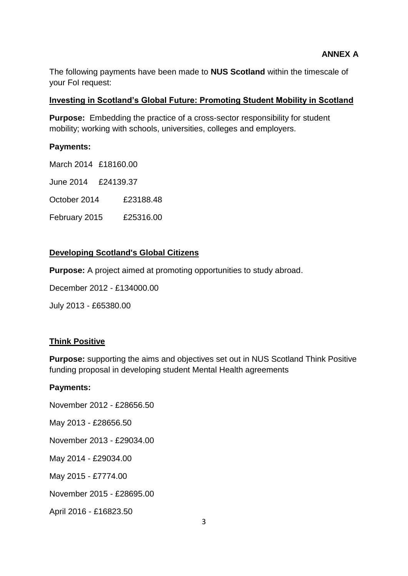The following payments have been made to **NUS Scotland** within the timescale of your FoI request:

## **Investing in Scotland's Global Future: Promoting Student Mobility in Scotland**

**Purpose:** Embedding the practice of a cross-sector responsibility for student mobility; working with schools, universities, colleges and employers.

# **Payments:**

March 2014 £18160.00 June 2014 £24139.37 October 2014 £23188.48 February 2015 £25316.00

# **Developing Scotland's Global Citizens**

**Purpose:** A project aimed at promoting opportunities to study abroad.

December 2012 - £134000.00

July 2013 - £65380.00

# **Think Positive**

**Purpose:** supporting the aims and objectives set out in NUS Scotland Think Positive funding proposal in developing student Mental Health agreements

#### **Payments:**

November 2012 - £28656.50

May 2013 - £28656.50

November 2013 - £29034.00

May 2014 - £29034.00

May 2015 - £7774.00

November 2015 - £28695.00

April 2016 - £16823.50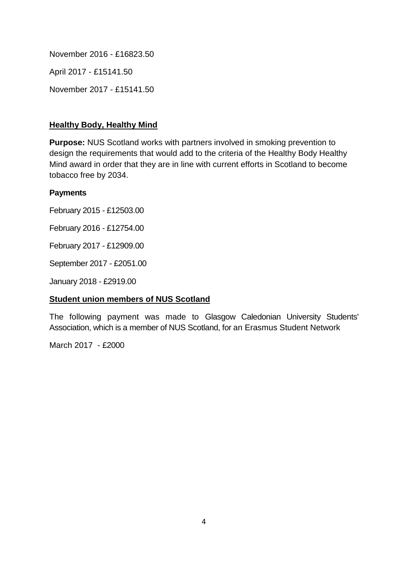November 2016 - £16823.50

April 2017 - £15141.50

November 2017 - £15141.50

## **Healthy Body, Healthy Mind**

**Purpose:** NUS Scotland works with partners involved in smoking prevention to design the requirements that would add to the criteria of the Healthy Body Healthy Mind award in order that they are in line with current efforts in Scotland to become tobacco free by 2034.

## **Payments**

February 2015 - £12503.00

February 2016 - £12754.00

February 2017 - £12909.00

September 2017 - £2051.00

January 2018 - £2919.00

# **Student union members of NUS Scotland**

The following payment was made to Glasgow Caledonian University Students' Association, which is a member of NUS Scotland, for an Erasmus Student Network

March 2017 - £2000